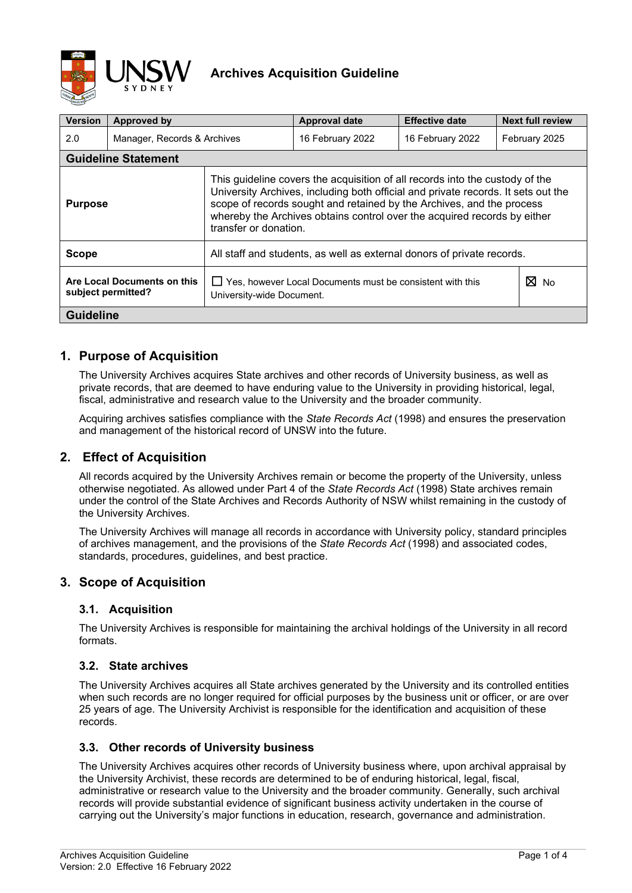

| <b>Version</b>                                    | Approved by |                                                                                                                                                                                                                                                                                                                                                 | <b>Approval date</b> | <b>Effective date</b> | <b>Next full review</b> |  |
|---------------------------------------------------|-------------|-------------------------------------------------------------------------------------------------------------------------------------------------------------------------------------------------------------------------------------------------------------------------------------------------------------------------------------------------|----------------------|-----------------------|-------------------------|--|
| 2.0<br>Manager, Records & Archives                |             | 16 February 2022                                                                                                                                                                                                                                                                                                                                |                      | 16 February 2022      | February 2025           |  |
| <b>Guideline Statement</b>                        |             |                                                                                                                                                                                                                                                                                                                                                 |                      |                       |                         |  |
| <b>Purpose</b>                                    |             | This guideline covers the acquisition of all records into the custody of the<br>University Archives, including both official and private records. It sets out the<br>scope of records sought and retained by the Archives, and the process<br>whereby the Archives obtains control over the acquired records by either<br>transfer or donation. |                      |                       |                         |  |
| <b>Scope</b>                                      |             | All staff and students, as well as external donors of private records.                                                                                                                                                                                                                                                                          |                      |                       |                         |  |
| Are Local Documents on this<br>subject permitted? |             | $\Box$ Yes, however Local Documents must be consistent with this<br>University-wide Document.                                                                                                                                                                                                                                                   | ⊠<br><b>No</b>       |                       |                         |  |
| <b>Guideline</b>                                  |             |                                                                                                                                                                                                                                                                                                                                                 |                      |                       |                         |  |

# **1. Purpose of Acquisition**

The University Archives acquires State archives and other records of University business, as well as private records, that are deemed to have enduring value to the University in providing historical, legal, fiscal, administrative and research value to the University and the broader community.

Acquiring archives satisfies compliance with the *State Records Act* (1998) and ensures the preservation and management of the historical record of UNSW into the future.

## **2. Effect of Acquisition**

All records acquired by the University Archives remain or become the property of the University, unless otherwise negotiated. As allowed under Part 4 of the *State Records Act* (1998) State archives remain under the control of the State Archives and Records Authority of NSW whilst remaining in the custody of the University Archives.

The University Archives will manage all records in accordance with University policy, standard principles of archives management, and the provisions of the *State Records Act* (1998) and associated codes, standards, procedures, guidelines, and best practice.

## **3. Scope of Acquisition**

### **3.1. Acquisition**

The University Archives is responsible for maintaining the archival holdings of the University in all record formats.

### **3.2. State archives**

The University Archives acquires all State archives generated by the University and its controlled entities when such records are no longer required for official purposes by the business unit or officer, or are over 25 years of age. The University Archivist is responsible for the identification and acquisition of these records.

### **3.3. Other records of University business**

The University Archives acquires other records of University business where, upon archival appraisal by the University Archivist, these records are determined to be of enduring historical, legal, fiscal, administrative or research value to the University and the broader community. Generally, such archival records will provide substantial evidence of significant business activity undertaken in the course of carrying out the University's major functions in education, research, governance and administration.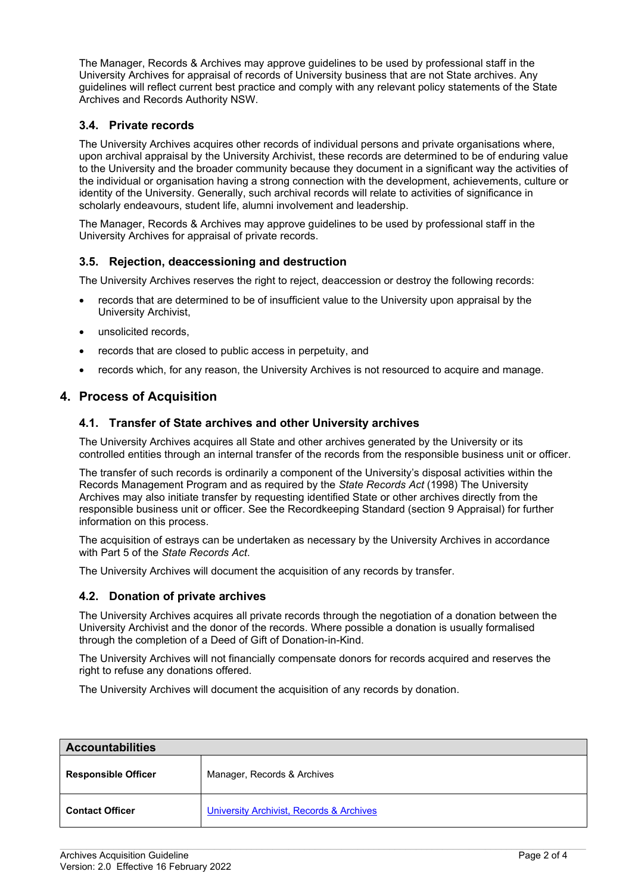The Manager, Records & Archives may approve guidelines to be used by professional staff in the University Archives for appraisal of records of University business that are not State archives. Any guidelines will reflect current best practice and comply with any relevant policy statements of the State Archives and Records Authority NSW.

### **3.4. Private records**

The University Archives acquires other records of individual persons and private organisations where, upon archival appraisal by the University Archivist, these records are determined to be of enduring value to the University and the broader community because they document in a significant way the activities of the individual or organisation having a strong connection with the development, achievements, culture or identity of the University. Generally, such archival records will relate to activities of significance in scholarly endeavours, student life, alumni involvement and leadership.

The Manager, Records & Archives may approve guidelines to be used by professional staff in the University Archives for appraisal of private records.

### **3.5. Rejection, deaccessioning and destruction**

The University Archives reserves the right to reject, deaccession or destroy the following records:

- records that are determined to be of insufficient value to the University upon appraisal by the University Archivist,
- unsolicited records.
- records that are closed to public access in perpetuity, and
- records which, for any reason, the University Archives is not resourced to acquire and manage.

## **4. Process of Acquisition**

#### **4.1. Transfer of State archives and other University archives**

The University Archives acquires all State and other archives generated by the University or its controlled entities through an internal transfer of the records from the responsible business unit or officer.

The transfer of such records is ordinarily a component of the University's disposal activities within the Records Management Program and as required by the *State Records Act* (1998) The University Archives may also initiate transfer by requesting identified State or other archives directly from the responsible business unit or officer. See the Recordkeeping Standard (section 9 Appraisal) for further information on this process.

The acquisition of estrays can be undertaken as necessary by the University Archives in accordance with Part 5 of the *State Records Act*.

The University Archives will document the acquisition of any records by transfer.

#### **4.2. Donation of private archives**

The University Archives acquires all private records through the negotiation of a donation between the University Archivist and the donor of the records. Where possible a donation is usually formalised through the completion of a Deed of Gift of Donation-in-Kind.

The University Archives will not financially compensate donors for records acquired and reserves the right to refuse any donations offered.

The University Archives will document the acquisition of any records by donation.

| <b>Accountabilities</b>    |                                          |  |  |  |
|----------------------------|------------------------------------------|--|--|--|
| <b>Responsible Officer</b> | Manager, Records & Archives              |  |  |  |
| <b>Contact Officer</b>     | University Archivist, Records & Archives |  |  |  |

 $\_$  , and the state of the state of the state of the state of the state of the state of the state of the state of the state of the state of the state of the state of the state of the state of the state of the state of the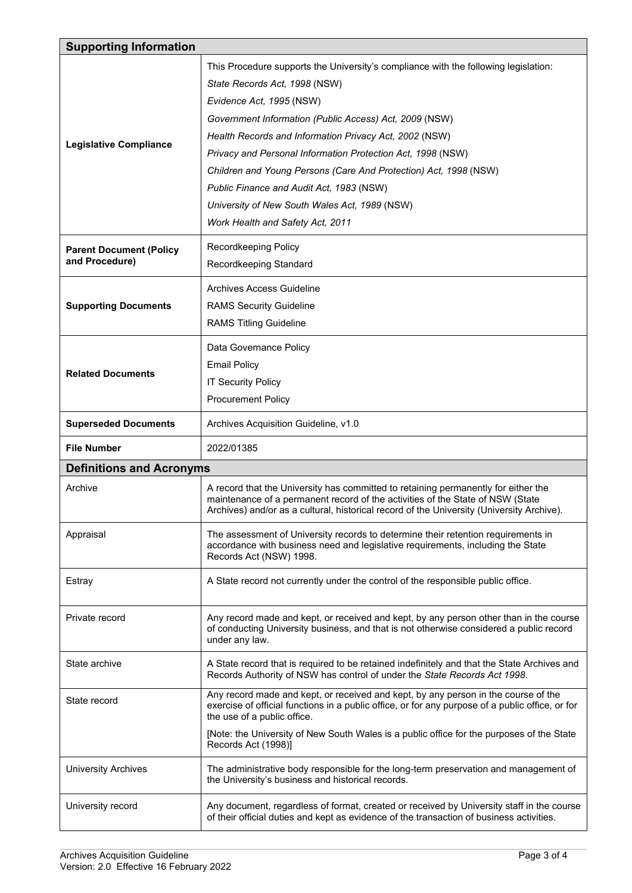|                                 | <b>Supporting Information</b>                                                                                                                                                                                                                                     |  |  |  |  |  |  |
|---------------------------------|-------------------------------------------------------------------------------------------------------------------------------------------------------------------------------------------------------------------------------------------------------------------|--|--|--|--|--|--|
|                                 | This Procedure supports the University's compliance with the following legislation:                                                                                                                                                                               |  |  |  |  |  |  |
|                                 | State Records Act, 1998 (NSW)                                                                                                                                                                                                                                     |  |  |  |  |  |  |
|                                 | Evidence Act, 1995 (NSW)                                                                                                                                                                                                                                          |  |  |  |  |  |  |
|                                 | Government Information (Public Access) Act, 2009 (NSW)                                                                                                                                                                                                            |  |  |  |  |  |  |
|                                 | Health Records and Information Privacy Act, 2002 (NSW)                                                                                                                                                                                                            |  |  |  |  |  |  |
| <b>Legislative Compliance</b>   | Privacy and Personal Information Protection Act, 1998 (NSW)                                                                                                                                                                                                       |  |  |  |  |  |  |
|                                 | Children and Young Persons (Care And Protection) Act, 1998 (NSW)                                                                                                                                                                                                  |  |  |  |  |  |  |
|                                 | Public Finance and Audit Act, 1983 (NSW)                                                                                                                                                                                                                          |  |  |  |  |  |  |
|                                 | University of New South Wales Act, 1989 (NSW)                                                                                                                                                                                                                     |  |  |  |  |  |  |
|                                 | Work Health and Safety Act, 2011                                                                                                                                                                                                                                  |  |  |  |  |  |  |
| <b>Parent Document (Policy</b>  | Recordkeeping Policy                                                                                                                                                                                                                                              |  |  |  |  |  |  |
| and Procedure)                  | Recordkeeping Standard                                                                                                                                                                                                                                            |  |  |  |  |  |  |
|                                 | Archives Access Guideline                                                                                                                                                                                                                                         |  |  |  |  |  |  |
| <b>Supporting Documents</b>     | <b>RAMS Security Guideline</b>                                                                                                                                                                                                                                    |  |  |  |  |  |  |
|                                 | <b>RAMS Titling Guideline</b>                                                                                                                                                                                                                                     |  |  |  |  |  |  |
|                                 | Data Governance Policy                                                                                                                                                                                                                                            |  |  |  |  |  |  |
|                                 | <b>Email Policy</b>                                                                                                                                                                                                                                               |  |  |  |  |  |  |
| <b>Related Documents</b>        | <b>IT Security Policy</b>                                                                                                                                                                                                                                         |  |  |  |  |  |  |
|                                 | <b>Procurement Policy</b>                                                                                                                                                                                                                                         |  |  |  |  |  |  |
| <b>Superseded Documents</b>     | Archives Acquisition Guideline, v1.0                                                                                                                                                                                                                              |  |  |  |  |  |  |
|                                 |                                                                                                                                                                                                                                                                   |  |  |  |  |  |  |
| <b>File Number</b>              | 2022/01385                                                                                                                                                                                                                                                        |  |  |  |  |  |  |
| <b>Definitions and Acronyms</b> |                                                                                                                                                                                                                                                                   |  |  |  |  |  |  |
| Archive                         | A record that the University has committed to retaining permanently for either the<br>maintenance of a permanent record of the activities of the State of NSW (State<br>Archives) and/or as a cultural, historical record of the University (University Archive). |  |  |  |  |  |  |
| Appraisal                       | The assessment of University records to determine their retention requirements in<br>accordance with business need and legislative requirements, including the State<br>Records Act (NSW) 1998.                                                                   |  |  |  |  |  |  |
| Estray                          | A State record not currently under the control of the responsible public office.                                                                                                                                                                                  |  |  |  |  |  |  |
| Private record                  | Any record made and kept, or received and kept, by any person other than in the course<br>of conducting University business, and that is not otherwise considered a public record<br>under any law.                                                               |  |  |  |  |  |  |
| State archive                   | A State record that is required to be retained indefinitely and that the State Archives and<br>Records Authority of NSW has control of under the State Records Act 1998.                                                                                          |  |  |  |  |  |  |
| State record                    | Any record made and kept, or received and kept, by any person in the course of the<br>exercise of official functions in a public office, or for any purpose of a public office, or for<br>the use of a public office.                                             |  |  |  |  |  |  |
|                                 | [Note: the University of New South Wales is a public office for the purposes of the State<br>Records Act (1998)]                                                                                                                                                  |  |  |  |  |  |  |
| <b>University Archives</b>      | The administrative body responsible for the long-term preservation and management of<br>the University's business and historical records.                                                                                                                         |  |  |  |  |  |  |